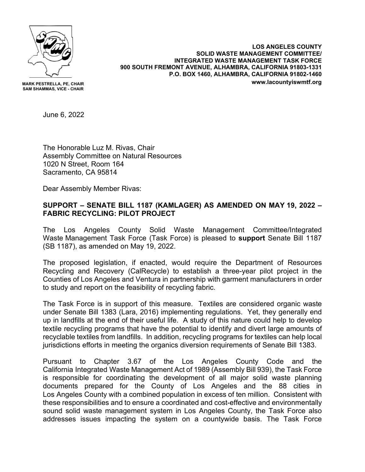

**MARK PESTRELLA, PE, CHAIR SAM SHAMMAS, VICE - CHAIR**

**LOS ANGELES COUNTY SOLID WASTE MANAGEMENT COMMITTEE/ INTEGRATED WASTE MANAGEMENT TASK FORCE 900 SOUTH FREMONT AVENUE, ALHAMBRA, CALIFORNIA 91803-1331 P.O. BOX 1460, ALHAMBRA, CALIFORNIA 91802-1460 www.lacountyiswmtf.org**

June 6, 2022

The Honorable Luz M. Rivas, Chair Assembly Committee on Natural Resources 1020 N Street, Room 164 Sacramento, CA 95814

Dear Assembly Member Rivas:

## **SUPPORT – SENATE BILL 1187 (KAMLAGER) AS AMENDED ON MAY 19, 2022 – FABRIC RECYCLING: PILOT PROJECT**

The Los Angeles County Solid Waste Management Committee/Integrated Waste Management Task Force (Task Force) is pleased to **support** Senate Bill 1187 (SB 1187), as amended on May 19, 2022.

The proposed legislation, if enacted, would require the Department of Resources Recycling and Recovery (CalRecycle) to establish a three-year pilot project in the Counties of Los Angeles and Ventura in partnership with garment manufacturers in order to study and report on the feasibility of recycling fabric.

The Task Force is in support of this measure. Textiles are considered organic waste under Senate Bill 1383 (Lara, 2016) implementing regulations. Yet, they generally end up in landfills at the end of their useful life. A study of this nature could help to develop textile recycling programs that have the potential to identify and divert large amounts of recyclable textiles from landfills. In addition, recycling programs for textiles can help local jurisdictions efforts in meeting the organics diversion requirements of Senate Bill 1383.

Pursuant to Chapter 3.67 of the Los Angeles County Code and the California Integrated Waste Management Act of 1989 (Assembly Bill 939), the Task Force is responsible for coordinating the development of all major solid waste planning documents prepared for the County of Los Angeles and the 88 cities in Los Angeles County with a combined population in excess of ten million. Consistent with these responsibilities and to ensure a coordinated and cost-effective and environmentally sound solid waste management system in Los Angeles County, the Task Force also addresses issues impacting the system on a countywide basis. The Task Force